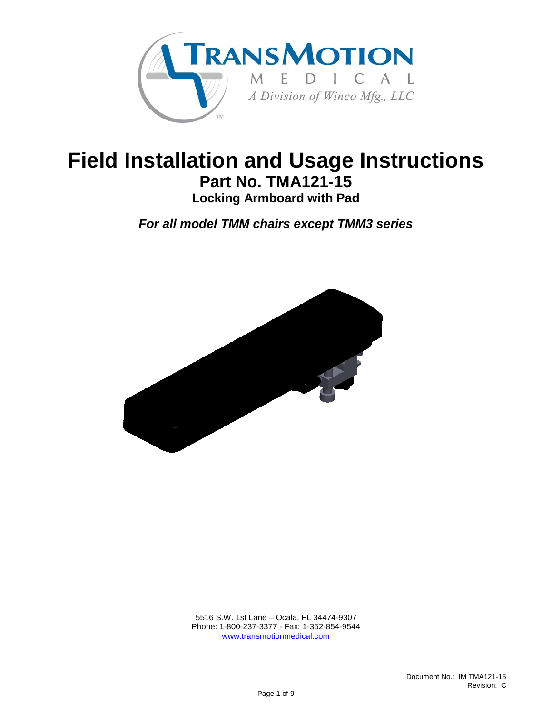

# **Field Installation and Usage Instructions Part No. TMA121-15 Locking Armboard with Pad**

*For all model TMM chairs except TMM3 series*



 5516 S.W. 1st Lane – Ocala, FL 34474-9307 Phone: 1-800-237-3377 - Fax: 1-352-854-9544 [www.transmotionmedical.com](http://www.transmotionmedical.com/)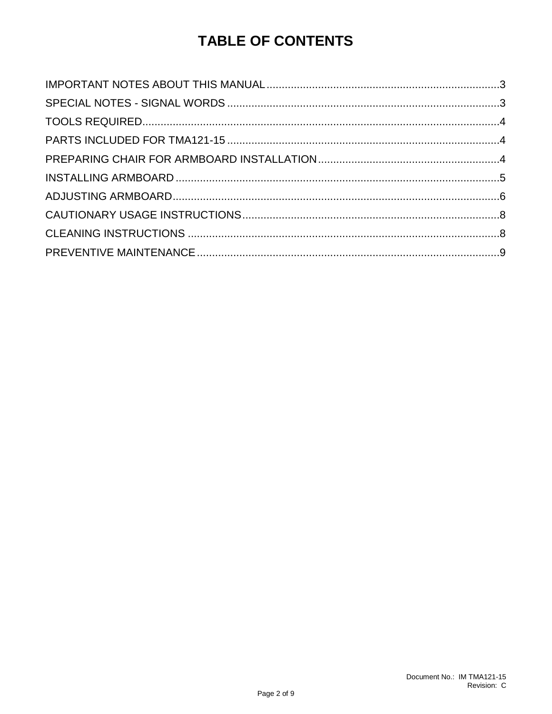# **TABLE OF CONTENTS**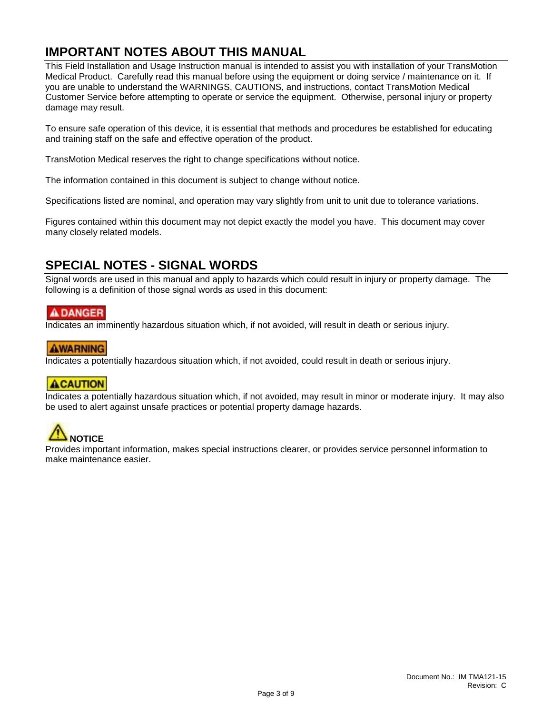### <span id="page-2-0"></span>**IMPORTANT NOTES ABOUT THIS MANUAL**

This Field Installation and Usage Instruction manual is intended to assist you with installation of your TransMotion Medical Product. Carefully read this manual before using the equipment or doing service / maintenance on it. If you are unable to understand the WARNINGS, CAUTIONS, and instructions, contact TransMotion Medical Customer Service before attempting to operate or service the equipment. Otherwise, personal injury or property damage may result.

To ensure safe operation of this device, it is essential that methods and procedures be established for educating and training staff on the safe and effective operation of the product.

TransMotion Medical reserves the right to change specifications without notice.

The information contained in this document is subject to change without notice.

Specifications listed are nominal, and operation may vary slightly from unit to unit due to tolerance variations.

Figures contained within this document may not depict exactly the model you have. This document may cover many closely related models.

### <span id="page-2-1"></span>**SPECIAL NOTES - SIGNAL WORDS**

Signal words are used in this manual and apply to hazards which could result in injury or property damage. The following is a definition of those signal words as used in this document:

#### A DANGER

Indicates an imminently hazardous situation which, if not avoided, will result in death or serious injury.

#### **AWARNING**

Indicates a potentially hazardous situation which, if not avoided, could result in death or serious injury.

#### **ACAUTION**

Indicates a potentially hazardous situation which, if not avoided, may result in minor or moderate injury. It may also be used to alert against unsafe practices or potential property damage hazards.



Provides important information, makes special instructions clearer, or provides service personnel information to make maintenance easier.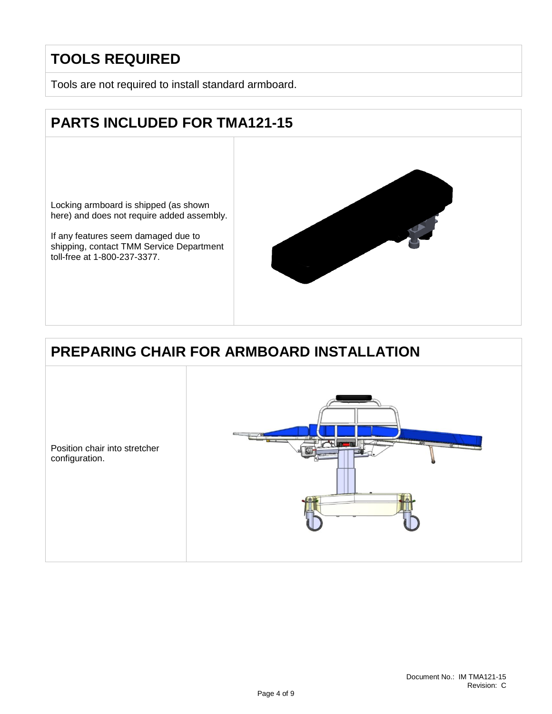# <span id="page-3-0"></span>**TOOLS REQUIRED**

Tools are not required to install standard armboard.

# <span id="page-3-1"></span>**PARTS INCLUDED FOR TMA121-15**

Locking armboard is shipped (as shown here) and does not require added assembly.

If any features seem damaged due to shipping, contact TMM Service Department toll-free at 1-800-237-3377.



# <span id="page-3-2"></span>**PREPARING CHAIR FOR ARMBOARD INSTALLATION**

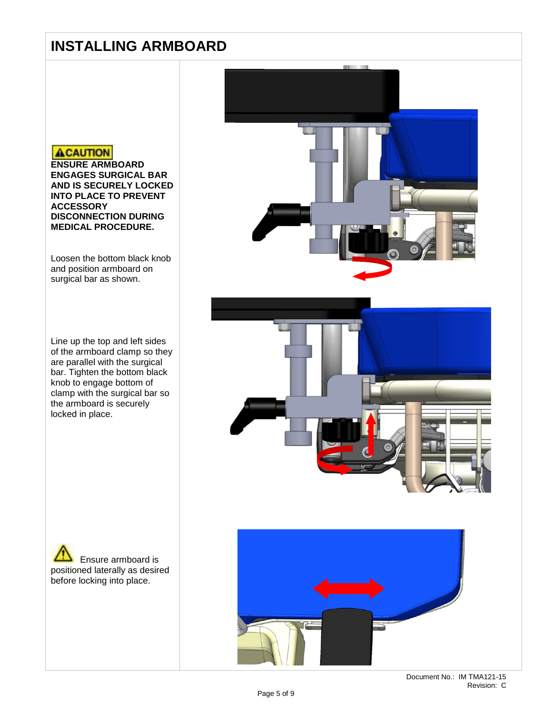### <span id="page-4-0"></span>**INSTALLING ARMBOARD**

#### **ACAUTION**

**ENSURE ARMBOARD ENGAGES SURGICAL BAR AND IS SECURELY LOCKED INTO PLACE TO PREVENT ACCESSORY DISCONNECTION DURING MEDICAL PROCEDURE.**

Loosen the bottom black knob and position armboard on surgical bar as shown.

Line up the top and left sides of the armboard clamp so they are parallel with the surgical bar. Tighten the bottom black knob to engage bottom of clamp with the surgical bar so the armboard is securely locked in place.

Ensure armboard is positioned laterally as desired before locking into place.

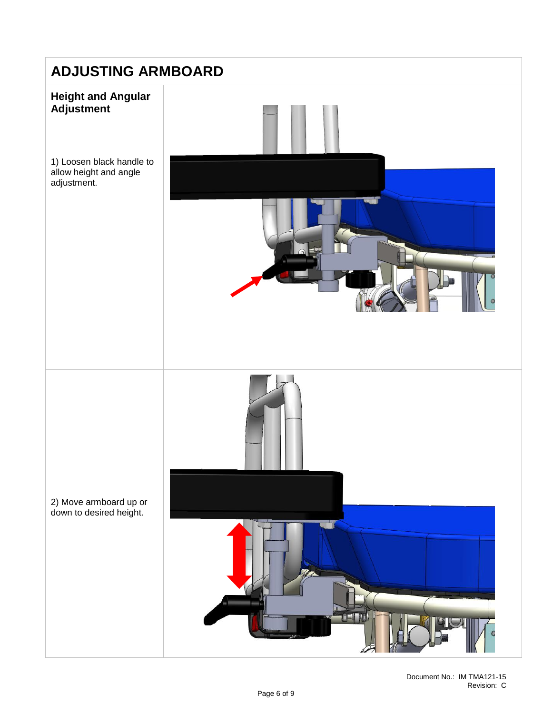<span id="page-5-0"></span>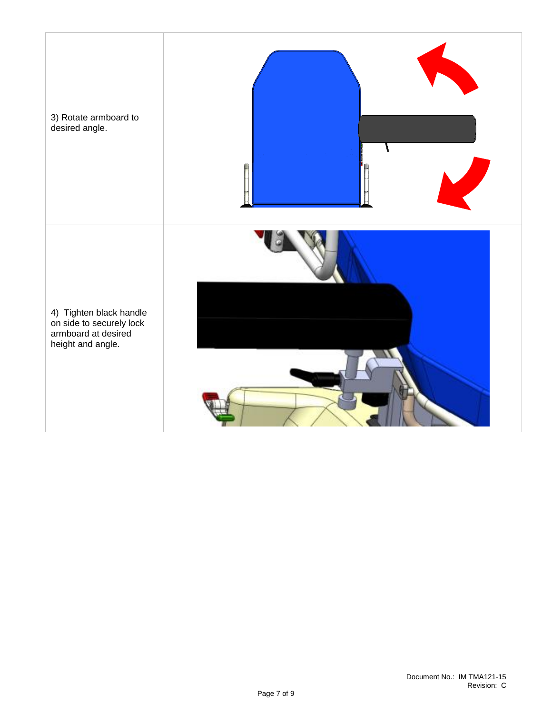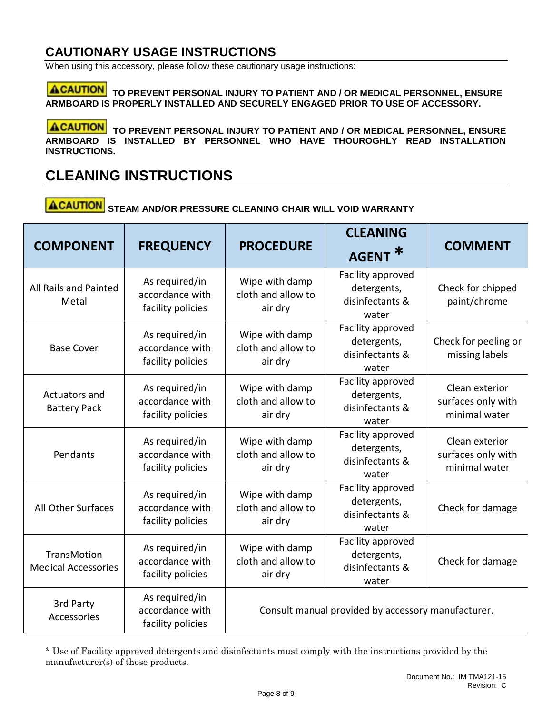### <span id="page-7-0"></span>**CAUTIONARY USAGE INSTRUCTIONS**

When using this accessory, please follow these cautionary usage instructions:

**ACAUTION** TO PREVENT PERSONAL INJURY TO PATIENT AND / OR MEDICAL PERSONNEL, ENSURE **ARMBOARD IS PROPERLY INSTALLED AND SECURELY ENGAGED PRIOR TO USE OF ACCESSORY.**

**ACAUTION** TO PREVENT PERSONAL INJURY TO PATIENT AND / OR MEDICAL PERSONNEL, ENSURE **ARMBOARD IS INSTALLED BY PERSONNEL WHO HAVE THOUROGHLY READ INSTALLATION INSTRUCTIONS.** 

## <span id="page-7-1"></span>**CLEANING INSTRUCTIONS**

**ACAUTION** STEAM AND/OR PRESSURE CLEANING CHAIR WILL VOID WARRANTY

| <b>COMPONENT</b>                          | <b>FREQUENCY</b>                                       | <b>PROCEDURE</b>                                | <b>CLEANING</b><br><b>AGENT</b>                              | <b>COMMENT</b>                                        |
|-------------------------------------------|--------------------------------------------------------|-------------------------------------------------|--------------------------------------------------------------|-------------------------------------------------------|
| All Rails and Painted<br>Metal            | As required/in<br>accordance with<br>facility policies | Wipe with damp<br>cloth and allow to<br>air dry | Facility approved<br>detergents,<br>disinfectants &<br>water | Check for chipped<br>paint/chrome                     |
| <b>Base Cover</b>                         | As required/in<br>accordance with<br>facility policies | Wipe with damp<br>cloth and allow to<br>air dry | Facility approved<br>detergents,<br>disinfectants &<br>water | Check for peeling or<br>missing labels                |
| Actuators and<br><b>Battery Pack</b>      | As required/in<br>accordance with<br>facility policies | Wipe with damp<br>cloth and allow to<br>air dry | Facility approved<br>detergents,<br>disinfectants &<br>water | Clean exterior<br>surfaces only with<br>minimal water |
| Pendants                                  | As required/in<br>accordance with<br>facility policies | Wipe with damp<br>cloth and allow to<br>air dry | Facility approved<br>detergents,<br>disinfectants &<br>water | Clean exterior<br>surfaces only with<br>minimal water |
| All Other Surfaces                        | As required/in<br>accordance with<br>facility policies | Wipe with damp<br>cloth and allow to<br>air dry | Facility approved<br>detergents,<br>disinfectants &<br>water | Check for damage                                      |
| TransMotion<br><b>Medical Accessories</b> | As required/in<br>accordance with<br>facility policies | Wipe with damp<br>cloth and allow to<br>air dry | Facility approved<br>detergents,<br>disinfectants &<br>water | Check for damage                                      |
| 3rd Party<br>Accessories                  | As required/in<br>accordance with<br>facility policies |                                                 | Consult manual provided by accessory manufacturer.           |                                                       |

\* Use of Facility approved detergents and disinfectants must comply with the instructions provided by the manufacturer(s) of those products.